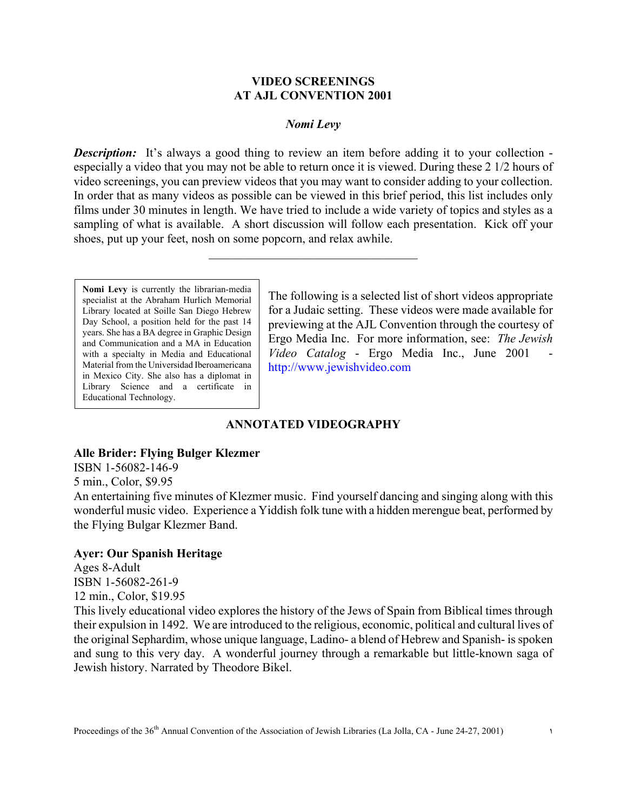### **VIDEO SCREENINGS AT AJL CONVENTION 2001**

### *Nomi Levy*

*Description:* It's always a good thing to review an item before adding it to your collection especially a video that you may not be able to return once it is viewed. During these 2 1/2 hours of video screenings, you can preview videos that you may want to consider adding to your collection. In order that as many videos as possible can be viewed in this brief period, this list includes only films under 30 minutes in length. We have tried to include a wide variety of topics and styles as a sampling of what is available. A short discussion will follow each presentation. Kick off your shoes, put up your feet, nosh on some popcorn, and relax awhile.

 $\mathcal{L}_\text{max}$  , where  $\mathcal{L}_\text{max}$  and  $\mathcal{L}_\text{max}$  and  $\mathcal{L}_\text{max}$ 

**Nomi Levy** is currently the librarian-media specialist at the Abraham Hurlich Memorial Library located at Soille San Diego Hebrew Day School, a position held for the past 14 years. She has a BA degree in Graphic Design and Communication and a MA in Education with a specialty in Media and Educational Material from the Universidad Iberoamericana in Mexico City. She also has a diplomat in Library Science and a certificate in Educational Technology.

The following is a selected list of short videos appropriate for a Judaic setting. These videos were made available for previewing at the AJL Convention through the courtesy of Ergo Media Inc. For more information, see: *The Jewish Video Catalog* - Ergo Media Inc., June 2001 http://www.jewishvideo.com

# **ANNOTATED VIDEOGRAPHY**

#### **Alle Brider: Flying Bulger Klezmer**

ISBN 1-56082-146-9 5 min., Color, \$9.95

An entertaining five minutes of Klezmer music. Find yourself dancing and singing along with this wonderful music video. Experience a Yiddish folk tune with a hidden merengue beat, performed by the Flying Bulgar Klezmer Band.

#### **Ayer: Our Spanish Heritage**

Ages 8-Adult ISBN 1-56082-261-9 12 min., Color, \$19.95 This lively educational video explores the history of the Jews of Spain from Biblical times through their expulsion in 1492. We are introduced to the religious, economic, political and cultural lives of the original Sephardim, whose unique language, Ladino- a blend of Hebrew and Spanish- is spoken and sung to this very day. A wonderful journey through a remarkable but little-known saga of Jewish history. Narrated by Theodore Bikel.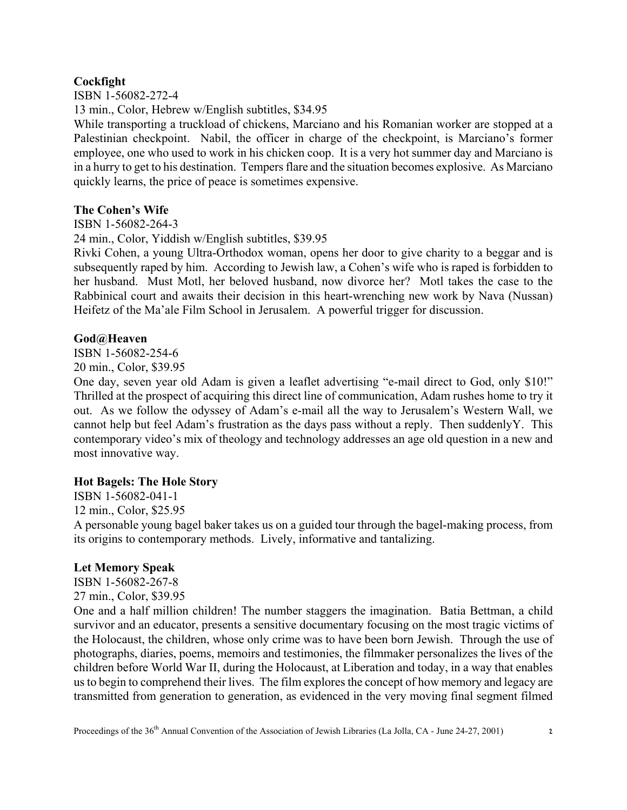# **Cockfight**

ISBN 1-56082-272-4

13 min., Color, Hebrew w/English subtitles, \$34.95

While transporting a truckload of chickens, Marciano and his Romanian worker are stopped at a Palestinian checkpoint. Nabil, the officer in charge of the checkpoint, is Marciano's former employee, one who used to work in his chicken coop. It is a very hot summer day and Marciano is in a hurry to get to his destination. Tempers flare and the situation becomes explosive. As Marciano quickly learns, the price of peace is sometimes expensive.

## **The Cohen's Wife**

ISBN 1-56082-264-3

24 min., Color, Yiddish w/English subtitles, \$39.95

Rivki Cohen, a young Ultra-Orthodox woman, opens her door to give charity to a beggar and is subsequently raped by him. According to Jewish law, a Cohen's wife who is raped is forbidden to her husband. Must Motl, her beloved husband, now divorce her? Motl takes the case to the Rabbinical court and awaits their decision in this heart-wrenching new work by Nava (Nussan) Heifetz of the Ma'ale Film School in Jerusalem. A powerful trigger for discussion.

## **God@Heaven**

ISBN 1-56082-254-6 20 min., Color, \$39.95

One day, seven year old Adam is given a leaflet advertising "e-mail direct to God, only \$10!" Thrilled at the prospect of acquiring this direct line of communication, Adam rushes home to try it out. As we follow the odyssey of Adam's e-mail all the way to Jerusalem's Western Wall, we cannot help but feel Adam's frustration as the days pass without a reply. Then suddenlyY. This contemporary video's mix of theology and technology addresses an age old question in a new and most innovative way.

# **Hot Bagels: The Hole Story**

ISBN 1-56082-041-1 12 min., Color, \$25.95 A personable young bagel baker takes us on a guided tour through the bagel-making process, from its origins to contemporary methods. Lively, informative and tantalizing.

#### **Let Memory Speak** ISBN 1-56082-267-8

27 min., Color, \$39.95 One and a half million children! The number staggers the imagination. Batia Bettman, a child survivor and an educator, presents a sensitive documentary focusing on the most tragic victims of the Holocaust, the children, whose only crime was to have been born Jewish. Through the use of photographs, diaries, poems, memoirs and testimonies, the filmmaker personalizes the lives of the children before World War II, during the Holocaust, at Liberation and today, in a way that enables us to begin to comprehend their lives. The film explores the concept of how memory and legacy are transmitted from generation to generation, as evidenced in the very moving final segment filmed